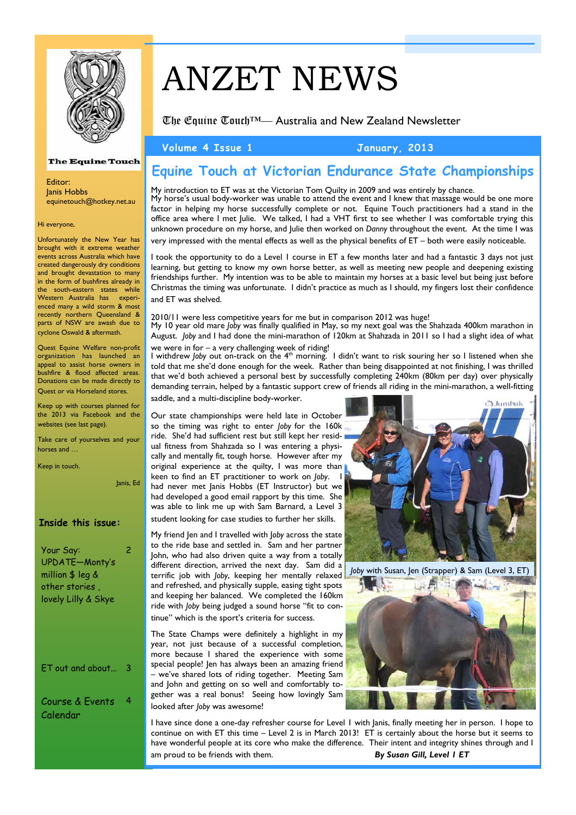

# ANZET NEWS

The Equine Touch™— Australia and New Zealand Newsletter

**Volume 4 Issue 1 January, 2013** 

#### The Equine Touch

Editor: Janis Hobbs equinetouch@hotkey.net.au

Hi everyone,

Unfortunately the New Year has brought with it extreme weather events across Australia which have created dangerously dry conditions and brought devastation to many in the form of bushfires already in the south-eastern states while Western Australia has experienced many a wild storm & most recently northern Queensland & parts of NSW are awash due to cyclone Oswald & aftermath.

 Quest Equine Welfare non-profit organization has launched an appeal to assist horse owners in bushfire & flood affected areas. Donations can be made directly to Quest or via Horseland stores.

Keep up with courses planned for the 2013 via Facebook and the websites (see last page).

Take care of yourselves and your horses and …

Keep in touch.

Janis, Ed

### **Inside this issue:**

| Your Say:<br>UPDATE-Monty's<br>million \$ leg &<br>other stories .<br>lovely Lilly & Skye |   |
|-------------------------------------------------------------------------------------------|---|
| $ET$ out and about                                                                        | 3 |
| Course & Events<br>Calendar                                                               |   |

## **Equine Touch at Victorian Endurance State Championships**

My introduction to ET was at the Victorian Tom Quilty in 2009 and was entirely by chance. My horse's usual body-worker was unable to attend the event and I knew that massage would be one more factor in helping my horse successfully complete or not. Equine Touch practitioners had a stand in the office area where I met Julie. We talked, I had a VHT first to see whether I was comfortable trying this unknown procedure on my horse, and Julie then worked on *Danny* throughout the event. At the time I was very impressed with the mental effects as well as the physical benefits of ET – both were easily noticeable.

I took the opportunity to do a Level 1 course in ET a few months later and had a fantastic 3 days not just learning, but getting to know my own horse better, as well as meeting new people and deepening existing friendships further. My intention was to be able to maintain my horses at a basic level but being just before Christmas the timing was unfortunate. I didn't practice as much as I should, my fingers lost their confidence and ET was shelved.

2010/11 were less competitive years for me but in comparison 2012 was huge! My 10 year old mare *Joby* was finally qualified in May, so my next goal was the Shahzada 400km marathon in August. *Joby* and I had done the mini-marathon of 120km at Shahzada in 2011 so I had a slight idea of what

we were in for – a very challenging week of riding!

I withdrew *Joby* out on-track on the 4<sup>th</sup> morning. I didn't want to risk souring her so I listened when she told that me she'd done enough for the week. Rather than being disappointed at not finishing, I was thrilled that we'd both achieved a personal best by successfully completing 240km (80km per day) over physically demanding terrain, helped by a fantastic support crew of friends all riding in the mini-marathon, a well-fitting

saddle, and a multi-discipline body-worker.

Our state championships were held late in October so the timing was right to enter *Joby* for the 160k ride. She'd had sufficient rest but still kept her residual fitness from Shahzada so I was entering a physically and mentally fit, tough horse. However after my original experience at the quilty, I was more than keen to find an ET practitioner to work on *Joby*. I had never met lanis Hobbs (ET Instructor) but we had developed a good email rapport by this time. She was able to link me up with Sam Barnard, a Level 3 student looking for case studies to further her skills.

My friend Jen and I travelled with J*oby* across the state to the ride base and settled in. Sam and her partner John, who had also driven quite a way from a totally different direction, arrived the next day. Sam did a terrific job with *Joby*, keeping her mentally relaxed and refreshed, and physically supple, easing tight spots and keeping her balanced. We completed the 160km ride with *Joby* being judged a sound horse "fit to continue" which is the sport's criteria for success.

The State Champs were definitely a highlight in my year, not just because of a successful completion, more because I shared the experience with some special people! Jen has always been an amazing friend – we've shared lots of riding together. Meeting Sam and John and getting on so well and comfortably together was a real bonus! Seeing how lovingly Sam looked after *Joby* was awesome!



*Joby* with Susan, Jen (Strapper) & Sam (Level 3, ET)



I have since done a one-day refresher course for Level 1 with Janis, finally meeting her in person. I hope to continue on with ET this time – Level 2 is in March 2013! ET is certainly about the horse but it seems to have wonderful people at its core who make the difference. Their intent and integrity shines through and I am proud to be friends with them. *By Susan Gill, Level 1 ET*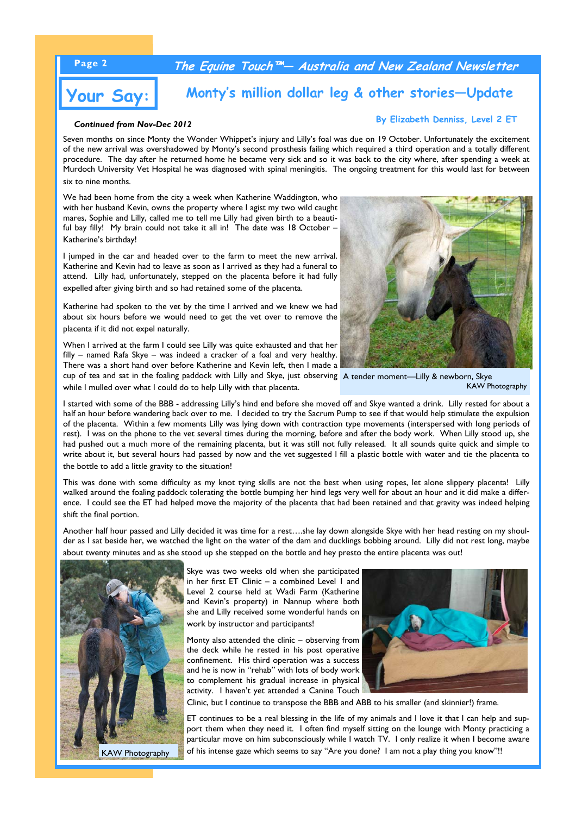## **Page 2 The Equine Touch™— Australia and New Zealand Newsletter**



# **Your Say: Monty's million dollar leg & other stories—Update**

#### *Continued from Nov-Dec 2012*

**By Elizabeth Denniss, Level 2 ET**

Seven months on since Monty the Wonder Whippet's injury and Lilly's foal was due on 19 October. Unfortunately the excitement of the new arrival was overshadowed by Monty's second prosthesis failing which required a third operation and a totally different procedure. The day after he returned home he became very sick and so it was back to the city where, after spending a week at Murdoch University Vet Hospital he was diagnosed with spinal meningitis. The ongoing treatment for this would last for between six to nine months.

We had been home from the city a week when Katherine Waddington, who with her husband Kevin, owns the property where I agist my two wild caught mares, Sophie and Lilly, called me to tell me Lilly had given birth to a beautiful bay filly! My brain could not take it all in! The date was 18 October – Katherine's birthday!

I jumped in the car and headed over to the farm to meet the new arrival. Katherine and Kevin had to leave as soon as I arrived as they had a funeral to attend. Lilly had, unfortunately, stepped on the placenta before it had fully expelled after giving birth and so had retained some of the placenta.

Katherine had spoken to the vet by the time I arrived and we knew we had about six hours before we would need to get the vet over to remove the placenta if it did not expel naturally.

When I arrived at the farm I could see Lilly was quite exhausted and that her filly – named Rafa Skye – was indeed a cracker of a foal and very healthy. There was a short hand over before Katherine and Kevin left, then I made a cup of tea and sat in the foaling paddock with Lilly and Skye, just observing A tender moment—Lilly & newborn, Skye

while I mulled over what I could do to help Lilly with that placenta.



KAW Photography

I started with some of the BBB - addressing Lilly's hind end before she moved off and Skye wanted a drink. Lilly rested for about a half an hour before wandering back over to me. I decided to try the Sacrum Pump to see if that would help stimulate the expulsion of the placenta. Within a few moments Lilly was lying down with contraction type movements (interspersed with long periods of rest). I was on the phone to the vet several times during the morning, before and after the body work. When Lilly stood up, she had pushed out a much more of the remaining placenta, but it was still not fully released. It all sounds quite quick and simple to write about it, but several hours had passed by now and the vet suggested I fill a plastic bottle with water and tie the placenta to the bottle to add a little gravity to the situation!

This was done with some difficulty as my knot tying skills are not the best when using ropes, let alone slippery placenta! Lilly walked around the foaling paddock tolerating the bottle bumping her hind legs very well for about an hour and it did make a difference. I could see the ET had helped move the majority of the placenta that had been retained and that gravity was indeed helping shift the final portion.

Another half hour passed and Lilly decided it was time for a rest….she lay down alongside Skye with her head resting on my shoulder as I sat beside her, we watched the light on the water of the dam and ducklings bobbing around. Lilly did not rest long, maybe about twenty minutes and as she stood up she stepped on the bottle and hey presto the entire placenta was out!



Skye was two weeks old when she participated in her first ET Clinic – a combined Level 1 and Level 2 course held at Wadi Farm (Katherine and Kevin's property) in Nannup where both she and Lilly received some wonderful hands on work by instructor and participants!

Monty also attended the clinic – observing from the deck while he rested in his post operative confinement. His third operation was a success and he is now in "rehab" with lots of body work to complement his gradual increase in physical activity. I haven't yet attended a Canine Touch



Clinic, but I continue to transpose the BBB and ABB to his smaller (and skinnier!) frame.

ET continues to be a real blessing in the life of my animals and I love it that I can help and support them when they need it. I often find myself sitting on the lounge with Monty practicing a particular move on him subconsciously while I watch TV. I only realize it when I become aware of his intense gaze which seems to say "Are you done? I am not a play thing you know"!!